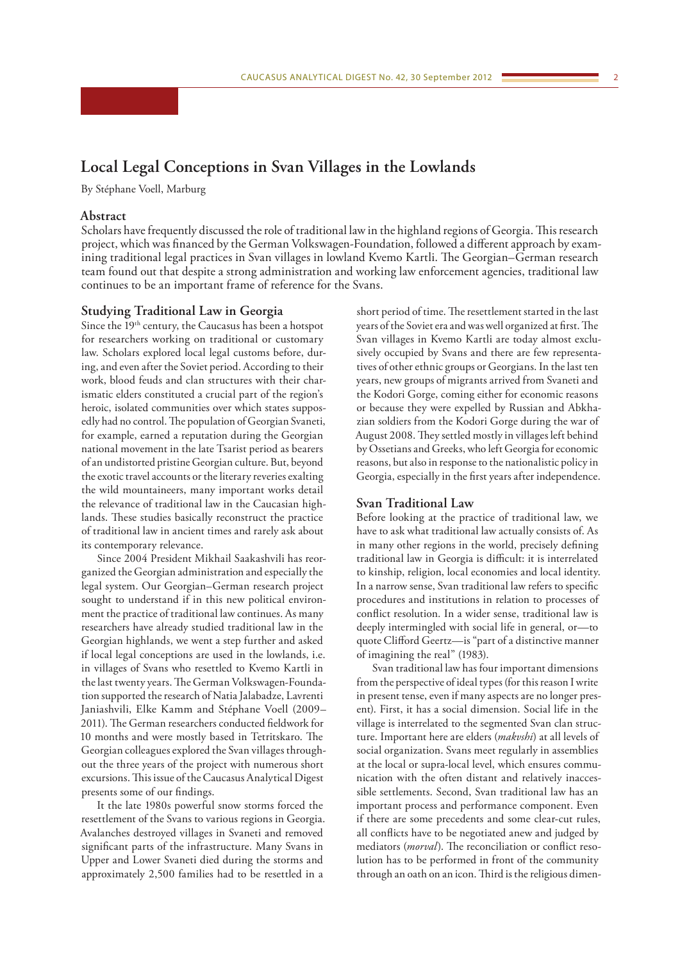# **Local Legal Conceptions in Svan Villages in the Lowlands**

By Stéphane Voell, Marburg

## **Abstract**

Scholars have frequently discussed the role of traditional law in the highland regions of Georgia. This research project, which was financed by the German Volkswagen-Foundation, followed a different approach by examining traditional legal practices in Svan villages in lowland Kvemo Kartli. The Georgian–German research team found out that despite a strong administration and working law enforcement agencies, traditional law continues to be an important frame of reference for the Svans.

## **Studying Traditional Law in Georgia**

Since the 19<sup>th</sup> century, the Caucasus has been a hotspot for researchers working on traditional or customary law. Scholars explored local legal customs before, during, and even after the Soviet period. According to their work, blood feuds and clan structures with their charismatic elders constituted a crucial part of the region's heroic, isolated communities over which states supposedly had no control. The population of Georgian Svaneti, for example, earned a reputation during the Georgian national movement in the late Tsarist period as bearers of an undistorted pristine Georgian culture. But, beyond the exotic travel accounts or the literary reveries exalting the wild mountaineers, many important works detail the relevance of traditional law in the Caucasian highlands. These studies basically reconstruct the practice of traditional law in ancient times and rarely ask about its contemporary relevance.

Since 2004 President Mikhail Saakashvili has reorganized the Georgian administration and especially the legal system. Our Georgian–German research project sought to understand if in this new political environment the practice of traditional law continues. As many researchers have already studied traditional law in the Georgian highlands, we went a step further and asked if local legal conceptions are used in the lowlands, i.e. in villages of Svans who resettled to Kvemo Kartli in the last twenty years. The German Volkswagen-Foundation supported the research of Natia Jalabadze, Lavrenti Janiashvili, Elke Kamm and Stéphane Voell (2009– 2011). The German researchers conducted fieldwork for 10 months and were mostly based in Tetritskaro. The Georgian colleagues explored the Svan villages throughout the three years of the project with numerous short excursions. This issue of the Caucasus Analytical Digest presents some of our findings.

It the late 1980s powerful snow storms forced the resettlement of the Svans to various regions in Georgia. Avalanches destroyed villages in Svaneti and removed significant parts of the infrastructure. Many Svans in Upper and Lower Svaneti died during the storms and approximately 2,500 families had to be resettled in a

short period of time. The resettlement started in the last years of the Soviet era and was well organized at first. The Svan villages in Kvemo Kartli are today almost exclusively occupied by Svans and there are few representatives of other ethnic groups or Georgians. In the last ten years, new groups of migrants arrived from Svaneti and the Kodori Gorge, coming either for economic reasons or because they were expelled by Russian and Abkhazian soldiers from the Kodori Gorge during the war of August 2008. They settled mostly in villages left behind by Ossetians and Greeks, who left Georgia for economic reasons, but also in response to the nationalistic policy in Georgia, especially in the first years after independence.

#### **Svan Traditional Law**

Before looking at the practice of traditional law, we have to ask what traditional law actually consists of. As in many other regions in the world, precisely defining traditional law in Georgia is difficult: it is interrelated to kinship, religion, local economies and local identity. In a narrow sense, Svan traditional law refers to specific procedures and institutions in relation to processes of conflict resolution. In a wider sense, traditional law is deeply intermingled with social life in general, or—to quote Clifford Geertz—is "part of a distinctive manner of imagining the real" (1983).

Svan traditional law has four important dimensions from the perspective of ideal types (for this reason I write in present tense, even if many aspects are no longer present). First, it has a social dimension. Social life in the village is interrelated to the segmented Svan clan structure. Important here are elders (*makvshi*) at all levels of social organization. Svans meet regularly in assemblies at the local or supra-local level, which ensures communication with the often distant and relatively inaccessible settlements. Second, Svan traditional law has an important process and performance component. Even if there are some precedents and some clear-cut rules, all conflicts have to be negotiated anew and judged by mediators (*morval*). The reconciliation or conflict resolution has to be performed in front of the community through an oath on an icon. Third is the religious dimen-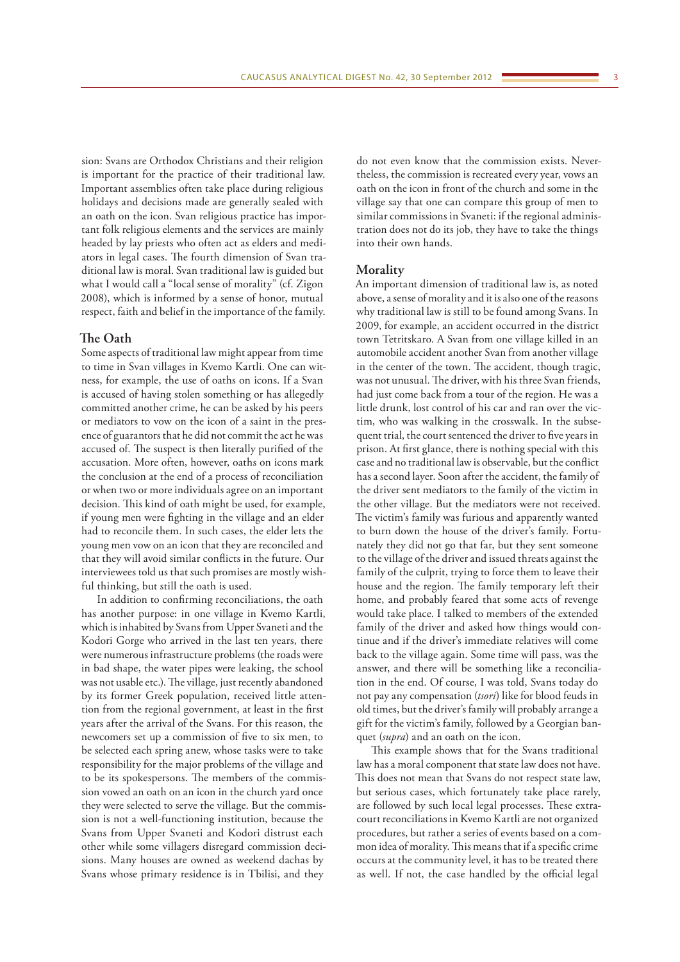sion: Svans are Orthodox Christians and their religion is important for the practice of their traditional law. Important assemblies often take place during religious holidays and decisions made are generally sealed with an oath on the icon. Svan religious practice has important folk religious elements and the services are mainly headed by lay priests who often act as elders and mediators in legal cases. The fourth dimension of Svan traditional law is moral. Svan traditional law is guided but what I would call a "local sense of morality" (cf. Zigon 2008), which is informed by a sense of honor, mutual respect, faith and belief in the importance of the family.

## **The Oath**

Some aspects of traditional law might appear from time to time in Svan villages in Kvemo Kartli. One can witness, for example, the use of oaths on icons. If a Svan is accused of having stolen something or has allegedly committed another crime, he can be asked by his peers or mediators to vow on the icon of a saint in the presence of guarantors that he did not commit the act he was accused of. The suspect is then literally purified of the accusation. More often, however, oaths on icons mark the conclusion at the end of a process of reconciliation or when two or more individuals agree on an important decision. This kind of oath might be used, for example, if young men were fighting in the village and an elder had to reconcile them. In such cases, the elder lets the young men vow on an icon that they are reconciled and that they will avoid similar conflicts in the future. Our interviewees told us that such promises are mostly wishful thinking, but still the oath is used.

In addition to confirming reconciliations, the oath has another purpose: in one village in Kvemo Kartli, which is inhabited by Svans from Upper Svaneti and the Kodori Gorge who arrived in the last ten years, there were numerous infrastructure problems (the roads were in bad shape, the water pipes were leaking, the school was not usable etc.). The village, just recently abandoned by its former Greek population, received little attention from the regional government, at least in the first years after the arrival of the Svans. For this reason, the newcomers set up a commission of five to six men, to be selected each spring anew, whose tasks were to take responsibility for the major problems of the village and to be its spokespersons. The members of the commission vowed an oath on an icon in the church yard once they were selected to serve the village. But the commission is not a well-functioning institution, because the Svans from Upper Svaneti and Kodori distrust each other while some villagers disregard commission decisions. Many houses are owned as weekend dachas by Svans whose primary residence is in Tbilisi, and they

do not even know that the commission exists. Nevertheless, the commission is recreated every year, vows an oath on the icon in front of the church and some in the village say that one can compare this group of men to similar commissions in Svaneti: if the regional administration does not do its job, they have to take the things into their own hands.

### **Morality**

An important dimension of traditional law is, as noted above, a sense of morality and it is also one of the reasons why traditional law is still to be found among Svans. In 2009, for example, an accident occurred in the district town Tetritskaro. A Svan from one village killed in an automobile accident another Svan from another village in the center of the town. The accident, though tragic, was not unusual. The driver, with his three Svan friends, had just come back from a tour of the region. He was a little drunk, lost control of his car and ran over the victim, who was walking in the crosswalk. In the subsequent trial, the court sentenced the driver to five years in prison. At first glance, there is nothing special with this case and no traditional law is observable, but the conflict has a second layer. Soon after the accident, the family of the driver sent mediators to the family of the victim in the other village. But the mediators were not received. The victim's family was furious and apparently wanted to burn down the house of the driver's family. Fortunately they did not go that far, but they sent someone to the village of the driver and issued threats against the family of the culprit, trying to force them to leave their house and the region. The family temporary left their home, and probably feared that some acts of revenge would take place. I talked to members of the extended family of the driver and asked how things would continue and if the driver's immediate relatives will come back to the village again. Some time will pass, was the answer, and there will be something like a reconciliation in the end. Of course, I was told, Svans today do not pay any compensation (*tsori*) like for blood feuds in old times, but the driver's family will probably arrange a gift for the victim's family, followed by a Georgian banquet (*supra*) and an oath on the icon.

This example shows that for the Svans traditional law has a moral component that state law does not have. This does not mean that Svans do not respect state law, but serious cases, which fortunately take place rarely, are followed by such local legal processes. These extracourt reconciliations in Kvemo Kartli are not organized procedures, but rather a series of events based on a common idea of morality. This means that if a specific crime occurs at the community level, it has to be treated there as well. If not, the case handled by the official legal